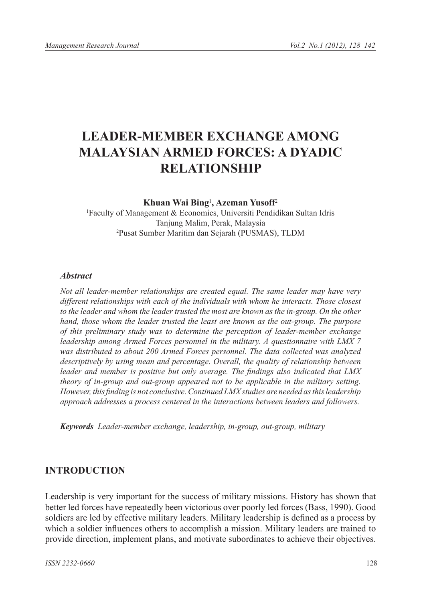# **LEADER-MEMBER EXCHANGE AMONG MALAYSIAN ARMED FORCES: A DYADIC RELATIONSHIP**

#### **Khuan Wai Bing**<sup>1</sup> **, Azeman Yusoff**<sup>2</sup>

1 Faculty of Management & Economics, Universiti Pendidikan Sultan Idris Tanjung Malim, Perak, Malaysia 2 Pusat Sumber Maritim dan Sejarah (PUSMAS), TLDM

#### *Abstract*

*Not all leader-member relationships are created equal. The same leader may have very different relationships with each of the individuals with whom he interacts. Those closest*  to the leader and whom the leader trusted the most are known as the in-group. On the other *hand, those whom the leader trusted the least are known as the out-group. The purpose of this preliminary study was to determine the perception of leader-member exchange leadership among Armed Forces personnel in the military. A questionnaire with LMX 7*  was distributed to about 200 Armed Forces personnel. The data collected was analyzed *descriptively by using mean and percentage. Overall, the quality of relationship between leader and member is positive but only average. The findings also indicated that LMX theory of in-group and out-group appeared not to be applicable in the military setting. However, this finding is not conclusive. Continued LMX studies are needed as this leadership approach addresses a process centered in the interactions between leaders and followers.*

*Keywords Leader-member exchange, leadership, in-group, out-group, military* 

#### **INTRODUCTION**

Leadership is very important for the success of military missions. History has shown that better led forces have repeatedly been victorious over poorly led forces (Bass, 1990). Good soldiers are led by effective military leaders. Military leadership is defined as a process by which a soldier influences others to accomplish a mission. Military leaders are trained to provide direction, implement plans, and motivate subordinates to achieve their objectives.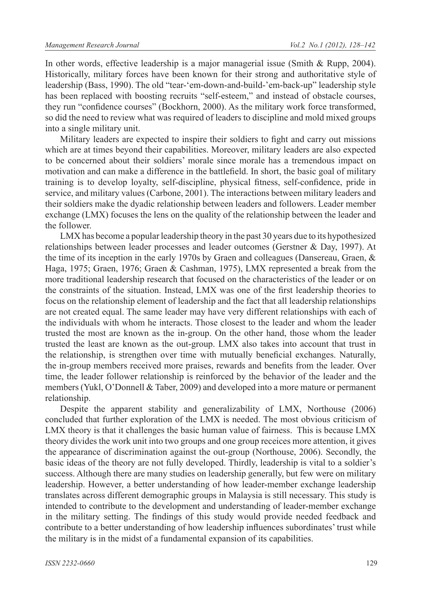In other words, effective leadership is a major managerial issue (Smith & Rupp, 2004). Historically, military forces have been known for their strong and authoritative style of leadership (Bass, 1990). The old "tear-'em-down-and-build-'em-back-up" leadership style has been replaced with boosting recruits "self-esteem," and instead of obstacle courses, they run "confidence courses" (Bockhorn, 2000). As the military work force transformed, so did the need to review what was required of leaders to discipline and mold mixed groups into a single military unit.

Military leaders are expected to inspire their soldiers to fight and carry out missions which are at times beyond their capabilities. Moreover, military leaders are also expected to be concerned about their soldiers' morale since morale has a tremendous impact on motivation and can make a difference in the battlefield. In short, the basic goal of military training is to develop loyalty, self-discipline, physical fitness, self-confidence, pride in service, and military values (Carbone, 2001). The interactions between military leaders and their soldiers make the dyadic relationship between leaders and followers. Leader member exchange (LMX) focuses the lens on the quality of the relationship between the leader and the follower.

LMX has become a popular leadership theory in the past 30 years due to its hypothesized relationships between leader processes and leader outcomes (Gerstner  $&$  Day, 1997). At the time of its inception in the early 1970s by Graen and colleagues (Dansereau, Graen, & Haga, 1975; Graen, 1976; Graen & Cashman, 1975), LMX represented a break from the more traditional leadership research that focused on the characteristics of the leader or on the constraints of the situation. Instead, LMX was one of the first leadership theories to focus on the relationship element of leadership and the fact that all leadership relationships are not created equal. The same leader may have very different relationships with each of the individuals with whom he interacts. Those closest to the leader and whom the leader trusted the most are known as the in-group. On the other hand, those whom the leader trusted the least are known as the out-group. LMX also takes into account that trust in the relationship, is strengthen over time with mutually beneficial exchanges. Naturally, the in-group members received more praises, rewards and benefits from the leader. Over time, the leader follower relationship is reinforced by the behavior of the leader and the members (Yukl, O'Donnell & Taber, 2009) and developed into a more mature or permanent relationship.

Despite the apparent stability and generalizability of LMX, Northouse (2006) concluded that further exploration of the LMX is needed. The most obvious criticism of LMX theory is that it challenges the basic human value of fairness. This is because LMX theory divides the work unit into two groups and one group receices more attention, it gives the appearance of discrimination against the out-group (Northouse, 2006). Secondly, the basic ideas of the theory are not fully developed. Thirdly, leadership is vital to a soldier's success. Although there are many studies on leadership generally, but few were on military leadership. However, a better understanding of how leader-member exchange leadership translates across different demographic groups in Malaysia is still necessary. This study is intended to contribute to the development and understanding of leader-member exchange in the military setting. The findings of this study would provide needed feedback and contribute to a better understanding of how leadership influences subordinates' trust while the military is in the midst of a fundamental expansion of its capabilities.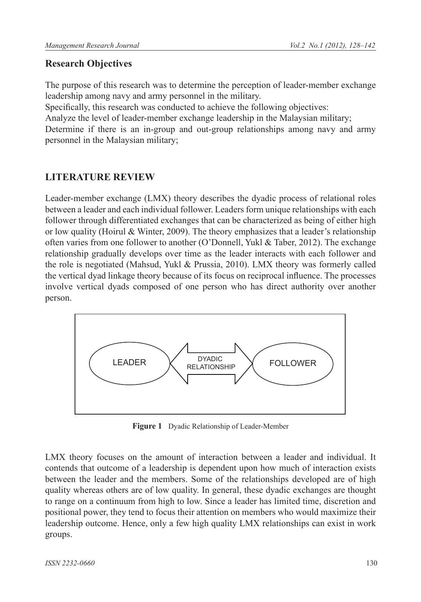### **Research Objectives**

The purpose of this research was to determine the perception of leader-member exchange leadership among navy and army personnel in the military.

Specifically, this research was conducted to achieve the following objectives:

Analyze the level of leader-member exchange leadership in the Malaysian military;

Determine if there is an in-group and out-group relationships among navy and army personnel in the Malaysian military;

# **LITERATURE REVIEW**

Leader-member exchange (LMX) theory describes the dyadic process of relational roles between a leader and each individual follower. Leaders form unique relationships with each follower through differentiated exchanges that can be characterized as being of either high or low quality (Hoirul & Winter, 2009). The theory emphasizes that a leader's relationship often varies from one follower to another (O'Donnell, Yukl & Taber, 2012). The exchange relationship gradually develops over time as the leader interacts with each follower and the role is negotiated (Mahsud, Yukl & Prussia, 2010). LMX theory was formerly called the vertical dyad linkage theory because of its focus on reciprocal influence. The processes involve vertical dyads composed of one person who has direct authority over another person.



**Figure 1** Dyadic Relationship of Leader-Member

LMX theory focuses on the amount of interaction between a leader and individual. It contends that outcome of a leadership is dependent upon how much of interaction exists between the leader and the members. Some of the relationships developed are of high quality whereas others are of low quality. In general, these dyadic exchanges are thought to range on a continuum from high to low. Since a leader has limited time, discretion and positional power, they tend to focus their attention on members who would maximize their leadership outcome. Hence, only a few high quality LMX relationships can exist in work groups.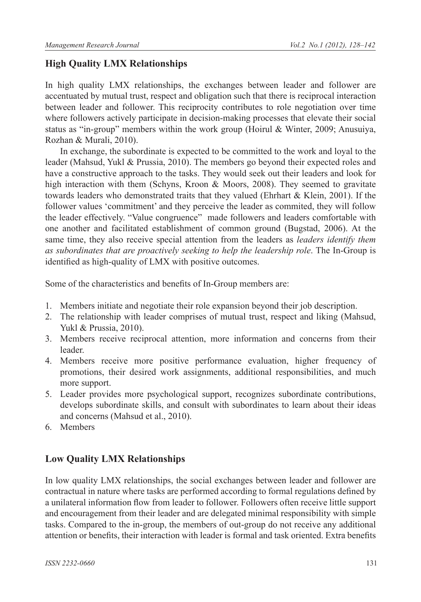### **High Quality LMX Relationships**

In high quality LMX relationships, the exchanges between leader and follower are accentuated by mutual trust, respect and obligation such that there is reciprocal interaction between leader and follower. This reciprocity contributes to role negotiation over time where followers actively participate in decision-making processes that elevate their social status as "in-group" members within the work group (Hoirul & Winter, 2009; Anusuiya, Rozhan & Murali, 2010).

In exchange, the subordinate is expected to be committed to the work and loyal to the leader (Mahsud, Yukl & Prussia, 2010). The members go beyond their expected roles and have a constructive approach to the tasks. They would seek out their leaders and look for high interaction with them (Schyns, Kroon & Moors, 2008). They seemed to gravitate towards leaders who demonstrated traits that they valued (Ehrhart  $\&$  Klein, 2001). If the follower values 'commitment' and they perceive the leader as commited, they will follow the leader effectively. "Value congruence" made followers and leaders comfortable with one another and facilitated establishment of common ground (Bugstad, 2006). At the same time, they also receive special attention from the leaders as *leaders identify them*  as subordinates that are proactively seeking to help the leadership role. The In-Group is identified as high-quality of LMX with positive outcomes.

Some of the characteristics and benefits of In-Group members are:

- 1. Members initiate and negotiate their role expansion beyond their job description.
- 2. The relationship with leader comprises of mutual trust, respect and liking (Mahsud, Yukl & Prussia, 2010).
- 3. Members receive reciprocal attention, more information and concerns from their leader.
- 4. Members receive more positive performance evaluation, higher frequency of promotions, their desired work assignments, additional responsibilities, and much more support.
- 5. Leader provides more psychological support, recognizes subordinate contributions, develops subordinate skills, and consult with subordinates to learn about their ideas and concerns (Mahsud et al., 2010).
- 6. Members

### **Low Quality LMX Relationships**

In low quality LMX relationships, the social exchanges between leader and follower are contractual in nature where tasks are performed according to formal regulations defined by a unilateral information flow from leader to follower. Followers often receive little support and encouragement from their leader and are delegated minimal responsibility with simple tasks. Compared to the in-group, the members of out-group do not receive any additional attention or benefits, their interaction with leader is formal and task oriented. Extra benefits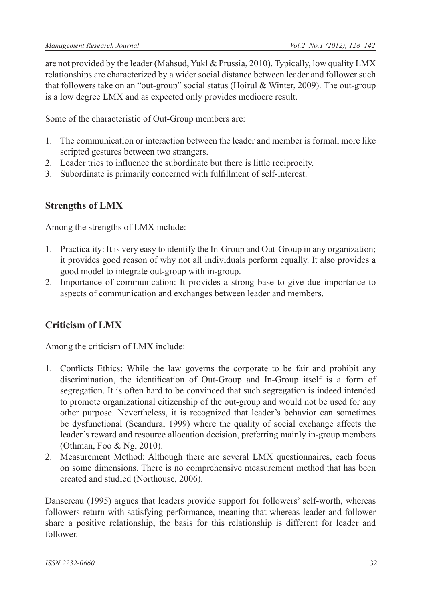are not provided by the leader (Mahsud, Yukl & Prussia, 2010). Typically, low quality LMX relationships are characterized by a wider social distance between leader and follower such that followers take on an "out-group" social status (Hoirul & Winter, 2009). The out-group is a low degree LMX and as expected only provides mediocre result.

Some of the characteristic of Out-Group members are:

- 1. The communication or interaction between the leader and member is formal, more like scripted gestures between two strangers.
- 2. Leader tries to influence the subordinate but there is little reciprocity.
- 3. Subordinate is primarily concerned with fulfillment of self-interest.

### **Strengths of LMX**

Among the strengths of LMX include:

- 1. Practicality: It is very easy to identify the In-Group and Out-Group in any organization; it provides good reason of why not all individuals perform equally. It also provides a good model to integrate out-group with in-group.
- 2. Importance of communication: It provides a strong base to give due importance to aspects of communication and exchanges between leader and members.

# **Criticism of LMX**

Among the criticism of LMX include:

- 1. Conflicts Ethics: While the law governs the corporate to be fair and prohibit any discrimination, the identification of Out-Group and In-Group itself is a form of segregation. It is often hard to be convinced that such segregation is indeed intended to promote organizational citizenship of the out-group and would not be used for any other purpose. Nevertheless, it is recognized that leader's behavior can sometimes be dysfunctional (Scandura, 1999) where the quality of social exchange affects the leader's reward and resource allocation decision, preferring mainly in-group members (Othman, Foo & Ng, 2010).
- 2. Measurement Method: Although there are several LMX questionnaires, each focus on some dimensions. There is no comprehensive measurement method that has been created and studied (Northouse, 2006).

Dansereau (1995) argues that leaders provide support for followers' self-worth, whereas followers return with satisfying performance, meaning that whereas leader and follower share a positive relationship, the basis for this relationship is different for leader and follower.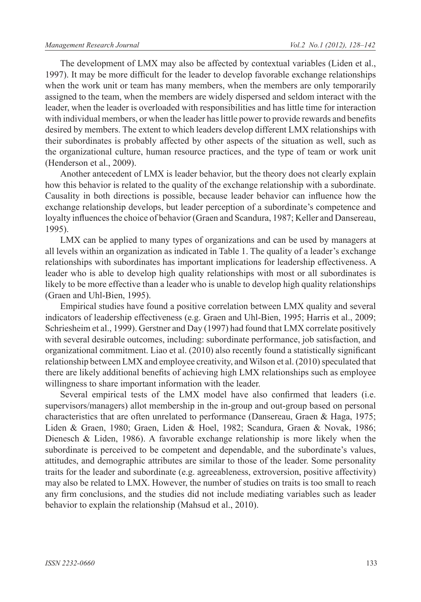The development of LMX may also be affected by contextual variables (Liden et al., 1997). It may be more difficult for the leader to develop favorable exchange relationships when the work unit or team has many members, when the members are only temporarily assigned to the team, when the members are widely dispersed and seldom interact with the leader, when the leader is overloaded with responsibilities and has little time for interaction with individual members, or when the leader has little power to provide rewards and benefits desired by members. The extent to which leaders develop different LMX relationships with their subordinates is probably affected by other aspects of the situation as well, such as the organizational culture, human resource practices, and the type of team or work unit (Henderson et al., 2009).

Another antecedent of LMX is leader behavior, but the theory does not clearly explain how this behavior is related to the quality of the exchange relationship with a subordinate. Causality in both directions is possible, because leader behavior can influence how the exchange relationship develops, but leader perception of a subordinate's competence and loyalty influences the choice of behavior (Graen and Scandura, 1987; Keller and Dansereau, 1995).

LMX can be applied to many types of organizations and can be used by managers at all levels within an organization as indicated in Table 1. The quality of a leader's exchange relationships with subordinates has important implications for leadership effectiveness. A leader who is able to develop high quality relationships with most or all subordinates is likely to be more effective than a leader who is unable to develop high quality relationships (Graen and Uhl-Bien, 1995).

Empirical studies have found a positive correlation between LMX quality and several indicators of leadership effectiveness (e.g. Graen and Uhl-Bien, 1995; Harris et al., 2009; Schriesheim et al., 1999). Gerstner and Day (1997) had found that LMX correlate positively with several desirable outcomes, including: subordinate performance, job satisfaction, and organizational commitment. Liao et al. (2010) also recently found a statistically significant relationship between LMX and employee creativity, and Wilson et al. (2010) speculated that there are likely additional benefits of achieving high LMX relationships such as employee willingness to share important information with the leader.

Several empirical tests of the LMX model have also confirmed that leaders (i.e. supervisors/managers) allot membership in the in-group and out-group based on personal characteristics that are often unrelated to performance (Dansereau, Graen & Haga, 1975; Liden & Graen, 1980; Graen, Liden & Hoel, 1982; Scandura, Graen & Novak, 1986; Dienesch & Liden, 1986). A favorable exchange relationship is more likely when the subordinate is perceived to be competent and dependable, and the subordinate's values, attitudes, and demographic attributes are similar to those of the leader. Some personality traits for the leader and subordinate (e.g. agreeableness, extroversion, positive affectivity) may also be related to LMX. However, the number of studies on traits is too small to reach any firm conclusions, and the studies did not include mediating variables such as leader behavior to explain the relationship (Mahsud et al., 2010).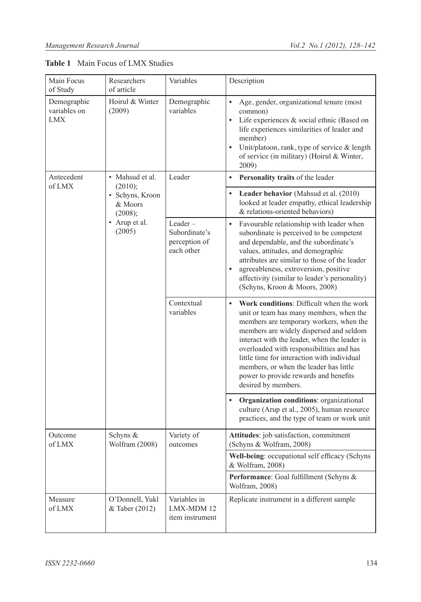| Main Focus<br>of Study                    | Researchers<br>of article                                        | Variables                                                  | Description                                                                                                                                                                                                                                                                                                                                                                                                                                 |
|-------------------------------------------|------------------------------------------------------------------|------------------------------------------------------------|---------------------------------------------------------------------------------------------------------------------------------------------------------------------------------------------------------------------------------------------------------------------------------------------------------------------------------------------------------------------------------------------------------------------------------------------|
| Demographic<br>variables on<br><b>LMX</b> | Hoirul & Winter<br>(2009)                                        | Demographic<br>variables                                   | $\bullet$<br>Age, gender, organizational tenure (most<br>common)<br>Life experiences & social ethnic (Based on<br>$\bullet$<br>life experiences similarities of leader and<br>member)<br>$\bullet$<br>Unit/platoon, rank, type of service & length<br>of service (in military) (Hoirul & Winter,<br>2009)                                                                                                                                   |
| Antecedent<br>of LMX                      | • Mahsud et al.<br>(2010);                                       | Leader                                                     | Personality traits of the leader<br>$\bullet$                                                                                                                                                                                                                                                                                                                                                                                               |
|                                           | · Schyns, Kroon<br>& Moors<br>(2008);<br>• Arup et al.<br>(2005) |                                                            | Leader behavior (Mahsud et al. (2010)<br>looked at leader empathy, ethical leadership<br>& relations-oriented behaviors)                                                                                                                                                                                                                                                                                                                    |
|                                           |                                                                  | $Leader -$<br>Subordinate's<br>perception of<br>each other | $\bullet$<br>Favourable relationship with leader when<br>subordinate is perceived to be competent<br>and dependable, and the subordinate's<br>values, attitudes, and demographic<br>attributes are similar to those of the leader<br>agreeableness, extroversion, positive<br>$\bullet$<br>affectivity (similar to leader's personality)<br>(Schyns, Kroon & Moors, 2008)                                                                   |
|                                           |                                                                  | Contextual<br>variables                                    | Work conditions: Difficult when the work<br>$\bullet$<br>unit or team has many members, when the<br>members are temporary workers, when the<br>members are widely dispersed and seldom<br>interact with the leader, when the leader is<br>overloaded with responsibilities and has<br>little time for interaction with individual<br>members, or when the leader has little<br>power to provide rewards and benefits<br>desired by members. |
|                                           |                                                                  |                                                            | Organization conditions: organizational<br>culture (Arup et al., 2005), human resource<br>practices, and the type of team or work unit                                                                                                                                                                                                                                                                                                      |
| Outcome<br>of LMX                         | Schyns &<br>Wolfram (2008)                                       | Variety of<br>outcomes                                     | Attitudes: job satisfaction, commitment<br>(Schyns & Wolfram, 2008)                                                                                                                                                                                                                                                                                                                                                                         |
|                                           |                                                                  |                                                            | Well-being: occupational self efficacy (Schyns<br>& Wolfram, 2008)                                                                                                                                                                                                                                                                                                                                                                          |
|                                           |                                                                  |                                                            | Performance: Goal fulfillment (Schyns &<br>Wolfram, 2008)                                                                                                                                                                                                                                                                                                                                                                                   |
| Measure<br>of LMX                         | O'Donnell, Yukl<br>& Taber (2012)                                | Variables in<br>LMX-MDM 12<br>item instrument              | Replicate instrument in a different sample                                                                                                                                                                                                                                                                                                                                                                                                  |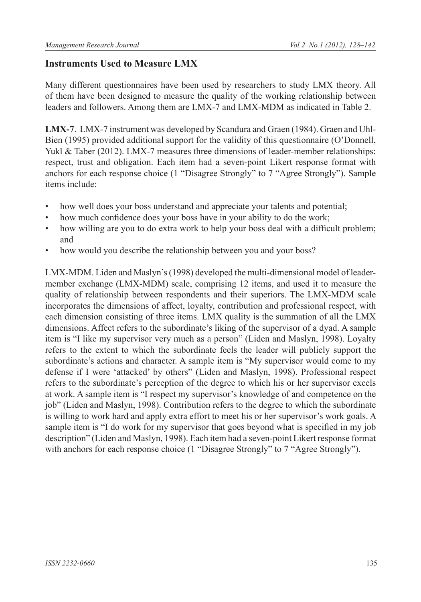### **Instruments Used to Measure LMX**

Many different questionnaires have been used by researchers to study LMX theory. All of them have been designed to measure the quality of the working relationship between leaders and followers. Among them are LMX-7 and LMX-MDM as indicated in Table 2.

**LMX-7**. LMX-7 instrument was developed by Scandura and Graen (1984). Graen and Uhl-Bien (1995) provided additional support for the validity of this questionnaire (O'Donnell, Yukl & Taber (2012). LMX-7 measures three dimensions of leader-member relationships: respect, trust and obligation. Each item had a seven-point Likert response format with anchors for each response choice (1 "Disagree Strongly" to 7 "Agree Strongly"). Sample items include:

- how well does your boss understand and appreciate your talents and potential;
- how much confidence does your boss have in your ability to do the work;
- how willing are you to do extra work to help your boss deal with a difficult problem; and
- how would you describe the relationship between you and your boss?

LMX-MDM. Liden and Maslyn's (1998) developed the multi-dimensional model of leadermember exchange (LMX-MDM) scale, comprising 12 items, and used it to measure the quality of relationship between respondents and their superiors. The LMX-MDM scale incorporates the dimensions of affect, loyalty, contribution and professional respect, with each dimension consisting of three items. LMX quality is the summation of all the LMX dimensions. Affect refers to the subordinate's liking of the supervisor of a dyad. A sample item is "I like my supervisor very much as a person" (Liden and Maslyn, 1998). Loyalty refers to the extent to which the subordinate feels the leader will publicly support the subordinate's actions and character. A sample item is "My supervisor would come to my defense if I were 'attacked' by others" (Liden and Maslyn, 1998). Professional respect refers to the subordinate's perception of the degree to which his or her supervisor excels at work. A sample item is "I respect my supervisor's knowledge of and competence on the job" (Liden and Maslyn, 1998). Contribution refers to the degree to which the subordinate is willing to work hard and apply extra effort to meet his or her supervisor's work goals. A sample item is "I do work for my supervisor that goes beyond what is specified in my job description" (Liden and Maslyn, 1998). Each item had a seven-point Likert response format with anchors for each response choice (1 "Disagree Strongly" to 7 "Agree Strongly").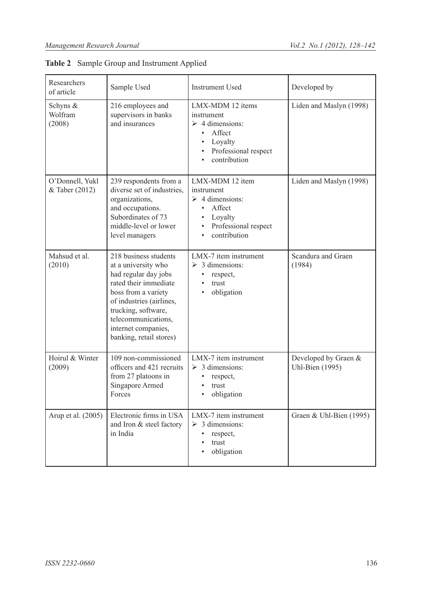| Researchers<br>of article         | Sample Used                                                                                                                                                                                                                                      | <b>Instrument Used</b>                                                                                                                                  | Developed by                            |
|-----------------------------------|--------------------------------------------------------------------------------------------------------------------------------------------------------------------------------------------------------------------------------------------------|---------------------------------------------------------------------------------------------------------------------------------------------------------|-----------------------------------------|
| Schyns &<br>Wolfram<br>(2008)     | 216 employees and<br>supervisors in banks<br>and insurances                                                                                                                                                                                      | LMX-MDM 12 items<br>instrument<br>$\triangleright$ 4 dimensions:<br>Affect<br>$\bullet$<br>Loyalty<br>$\bullet$<br>Professional respect<br>contribution | Liden and Maslyn (1998)                 |
| O'Donnell, Yukl<br>& Taber (2012) | 239 respondents from a<br>diverse set of industries,<br>organizations,<br>and occupations.<br>Subordinates of 73<br>middle-level or lower<br>level managers                                                                                      | LMX-MDM 12 item<br>instrument<br>$\geq 4$ dimensions:<br>Affect<br>$\bullet$<br>Loyalty<br>Professional respect<br>contribution                         | Liden and Maslyn (1998)                 |
| Mahsud et al.<br>(2010)           | 218 business students<br>at a university who<br>had regular day jobs<br>rated their immediate<br>boss from a variety<br>of industries (airlines,<br>trucking, software,<br>telecommunications,<br>internet companies,<br>banking, retail stores) | LMX-7 item instrument<br>$\geq$ 3 dimensions:<br>$\bullet$<br>respect,<br>$\bullet$<br>trust<br>obligation                                              | Scandura and Graen<br>(1984)            |
| Hoirul & Winter<br>(2009)         | 109 non-commissioned<br>officers and 421 recruits<br>from 27 platoons in<br>Singapore Armed<br>Forces                                                                                                                                            | LMX-7 item instrument<br>$\geq 3$ dimensions:<br>respect,<br>$\bullet$<br>trust<br>obligation<br>$\bullet$                                              | Developed by Graen &<br>Uhl-Bien (1995) |
| Arup et al. (2005)                | Electronic firms in USA<br>and Iron & steel factory<br>in India                                                                                                                                                                                  | LMX-7 item instrument<br>$\geq$ 3 dimensions:<br>respect,<br>trust<br>obligation                                                                        | Graen & Uhl-Bien (1995)                 |

**Table 2** Sample Group and Instrument Applied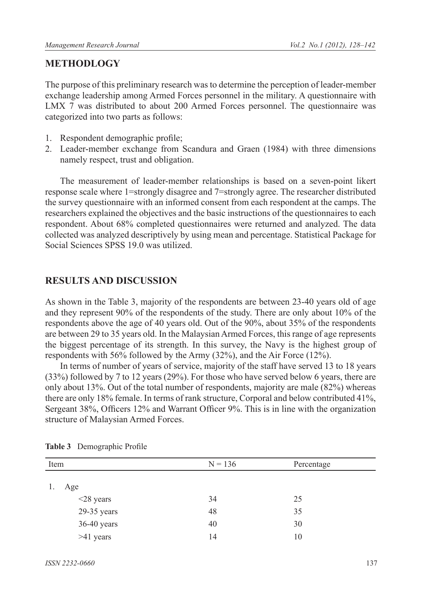#### **METHODLOGY**

The purpose of this preliminary research was to determine the perception of leader-member exchange leadership among Armed Forces personnel in the military. A questionnaire with LMX 7 was distributed to about 200 Armed Forces personnel. The questionnaire was categorized into two parts as follows:

- 1. Respondent demographic profile;
- 2. Leader-member exchange from Scandura and Graen (1984) with three dimensions namely respect, trust and obligation.

The measurement of leader-member relationships is based on a seven-point likert response scale where 1=strongly disagree and 7=strongly agree. The researcher distributed the survey questionnaire with an informed consent from each respondent at the camps. The researchers explained the objectives and the basic instructions of the questionnaires to each respondent. About 68% completed questionnaires were returned and analyzed. The data collected was analyzed descriptively by using mean and percentage. Statistical Package for Social Sciences SPSS 19.0 was utilized.

#### **RESULTS AND DISCUSSION**

As shown in the Table 3, majority of the respondents are between 23-40 years old of age and they represent 90% of the respondents of the study. There are only about 10% of the respondents above the age of 40 years old. Out of the 90%, about 35% of the respondents are between 29 to 35 years old. In the Malaysian Armed Forces, this range of age represents the biggest percentage of its strength. In this survey, the Navy is the highest group of respondents with 56% followed by the Army (32%), and the Air Force (12%).

In terms of number of years of service, majority of the staff have served 13 to 18 years (33%) followed by 7 to 12 years (29%). For those who have served below 6 years, there are only about 13%. Out of the total number of respondents, majority are male (82%) whereas there are only 18% female. In terms of rank structure, Corporal and below contributed 41%, Sergeant 38%, Officers 12% and Warrant Officer 9%. This is in line with the organization structure of Malaysian Armed Forces.

| Item            | $N = 136$ | Percentage |
|-----------------|-----------|------------|
| Age<br>1.       |           |            |
| $\leq$ 28 years | 34        | 25         |
| 29-35 years     | 48        | 35         |
| 36-40 years     | 40        | 30         |
| $>41$ years     | 14        | 10         |

|  | Table 3 Demographic Profile |  |
|--|-----------------------------|--|
|--|-----------------------------|--|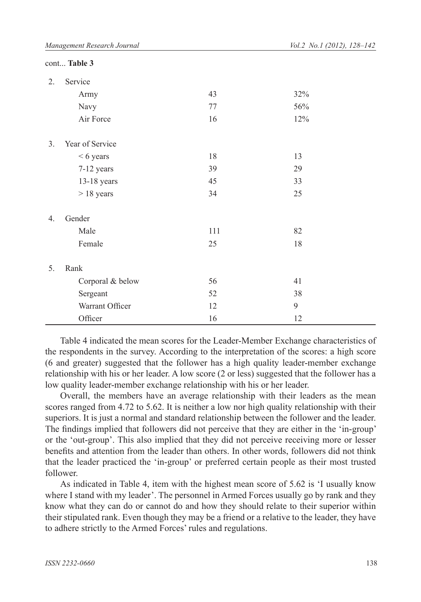|                  | cont Table 3     |     |     |  |
|------------------|------------------|-----|-----|--|
| 2.               | Service          |     |     |  |
|                  | Army             | 43  | 32% |  |
|                  | Navy             | 77  | 56% |  |
|                  | Air Force        | 16  | 12% |  |
| 3 <sub>1</sub>   | Year of Service  |     |     |  |
|                  | $< 6$ years      | 18  | 13  |  |
|                  | 7-12 years       | 39  | 29  |  |
|                  | $13-18$ years    | 45  | 33  |  |
|                  | $> 18$ years     | 34  | 25  |  |
| $\overline{4}$ . | Gender           |     |     |  |
|                  | Male             | 111 | 82  |  |
|                  | Female           | 25  | 18  |  |
| 5.               | Rank             |     |     |  |
|                  | Corporal & below | 56  | 41  |  |
|                  | Sergeant         | 52  | 38  |  |
|                  | Warrant Officer  | 12  | 9   |  |
|                  | Officer          | 16  | 12  |  |

Table 4 indicated the mean scores for the Leader-Member Exchange characteristics of the respondents in the survey. According to the interpretation of the scores: a high score (6 and greater) suggested that the follower has a high quality leader-member exchange relationship with his or her leader. A low score (2 or less) suggested that the follower has a low quality leader-member exchange relationship with his or her leader.

Overall, the members have an average relationship with their leaders as the mean scores ranged from 4.72 to 5.62. It is neither a low nor high quality relationship with their superiors. It is just a normal and standard relationship between the follower and the leader. The findings implied that followers did not perceive that they are either in the 'in-group' or the 'out-group'. This also implied that they did not perceive receiving more or lesser benefits and attention from the leader than others. In other words, followers did not think that the leader practiced the 'in-group' or preferred certain people as their most trusted follower.

As indicated in Table 4, item with the highest mean score of 5.62 is 'I usually know where I stand with my leader'. The personnel in Armed Forces usually go by rank and they know what they can do or cannot do and how they should relate to their superior within their stipulated rank. Even though they may be a friend or a relative to the leader, they have to adhere strictly to the Armed Forces' rules and regulations.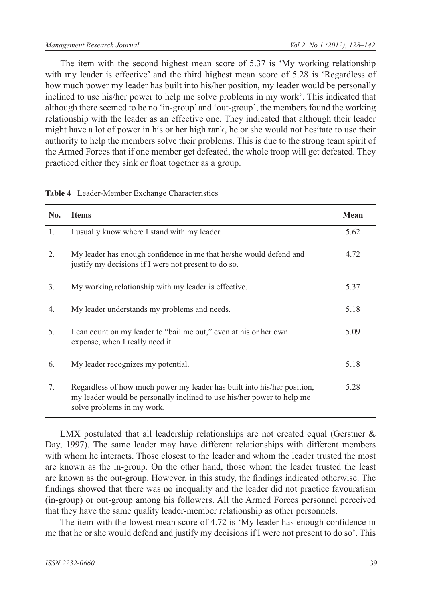The item with the second highest mean score of 5.37 is 'My working relationship with my leader is effective' and the third highest mean score of 5.28 is 'Regardless of how much power my leader has built into his/her position, my leader would be personally inclined to use his/her power to help me solve problems in my work'. This indicated that although there seemed to be no 'in-group' and 'out-group', the members found the working relationship with the leader as an effective one. They indicated that although their leader might have a lot of power in his or her high rank, he or she would not hesitate to use their authority to help the members solve their problems. This is due to the strong team spirit of the Armed Forces that if one member get defeated, the whole troop will get defeated. They practiced either they sink or float together as a group.

| No.            | <b>Items</b>                                                                                                                                                                    | Mean |
|----------------|---------------------------------------------------------------------------------------------------------------------------------------------------------------------------------|------|
| 1.             | I usually know where I stand with my leader.                                                                                                                                    | 5.62 |
| 2.             | My leader has enough confidence in me that he/she would defend and<br>justify my decisions if I were not present to do so.                                                      | 4.72 |
| 3 <sub>1</sub> | My working relationship with my leader is effective.                                                                                                                            | 5.37 |
| 4.             | My leader understands my problems and needs.                                                                                                                                    | 5.18 |
| 5.             | I can count on my leader to "bail me out," even at his or her own<br>expense, when I really need it.                                                                            | 5.09 |
| 6.             | My leader recognizes my potential.                                                                                                                                              | 5.18 |
| 7.             | Regardless of how much power my leader has built into his/her position,<br>my leader would be personally inclined to use his/her power to help me<br>solve problems in my work. | 5.28 |

**Table 4** Leader-Member Exchange Characteristics

LMX postulated that all leadership relationships are not created equal (Gerstner  $\&$ Day, 1997). The same leader may have different relationships with different members with whom he interacts. Those closest to the leader and whom the leader trusted the most are known as the in-group. On the other hand, those whom the leader trusted the least are known as the out-group. However, in this study, the findings indicated otherwise. The findings showed that there was no inequality and the leader did not practice favouratism (in-group) or out-group among his followers. All the Armed Forces personnel perceived that they have the same quality leader-member relationship as other personnels.

The item with the lowest mean score of 4.72 is 'My leader has enough confidence in me that he or she would defend and justify my decisions if I were not present to do so'. This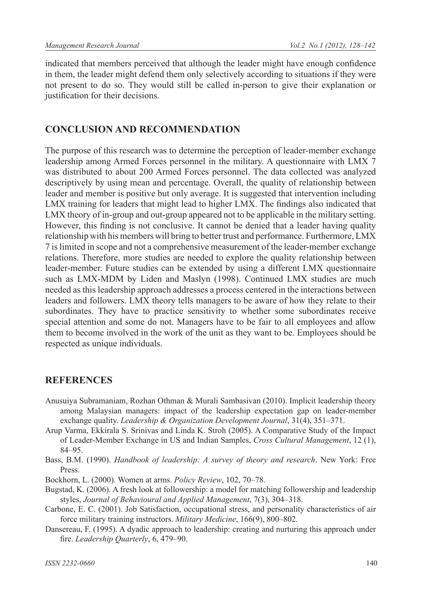indicated that members perceived that although the leader might have enough confidence in them, the leader might defend them only selectively according to situations if they were not present to do so. They would still be called in-person to give their explanation or justification for their decisions.

#### **CONCLUSION AND RECOMMENDATION**

The purpose of this research was to determine the perception of leader-member exchange leadership among Armed Forces personnel in the military. A questionnaire with LMX 7 was distributed to about 200 Armed Forces personnel. The data collected was analyzed descriptively by using mean and percentage. Overall, the quality of relationship between leader and member is positive but only average. It is suggested that intervention including LMX training for leaders that might lead to higher LMX. The findings also indicated that LMX theory of in-group and out-group appeared not to be applicable in the military setting. However, this finding is not conclusive. It cannot be denied that a leader having quality relationship with his members will bring to better trust and performance. Furthermore, LMX 7 is limited in scope and not a comprehensive measurement of the leader-member exchange relations. Therefore, more studies are needed to explore the quality relationship between leader-member. Future studies can be extended by using a different LMX questionnaire such as LMX-MDM by Liden and Maslyn (1998). Continued LMX studies are much needed as this leadership approach addresses a process centered in the interactions between leaders and followers. LMX theory tells managers to be aware of how they relate to their subordinates. They have to practice sensitivity to whether some subordinates receive special attention and some do not. Managers have to be fair to all employees and allow them to become involved in the work of the unit as they want to be. Employees should be respected as unique individuals.

#### **REFERENCES**

- Anusuiya Subramaniam, Rozhan Othman & Murali Sambasivan (2010). Implicit leadership theory among Malaysian managers: impact of the leadership expectation gap on leader-member exchange quality. *Leadership & Organization Development Journal*, 31(4), 351–371.
- Arup Varma, Ekkirala S. Srinivas and Linda K. Stroh (2005). A Comparative Study of the Impact of Leader-Member Exchange in US and Indian Samples, *Cross Cultural Management*, 12 (1), 84‒95.
- Bass, B.M. (1990). *Handbook of leadership: A survey of theory and research*. New York: Free Press.
- Bockhorn, L. (2000). Women at arms. *Policy Review*, 102, 70‒78.
- Bugstad, K. (2006). A fresh look at followership: a model for matching followership and leadership styles, *Journal of Behavioural and Applied Management*, 7(3), 304‒318.
- Carbone, E. C. (2001). Job Satisfaction, occupational stress, and personality characteristics of air force military training instructors. *Military Medicine*, 166(9), 800‒802.
- Dansereau, F. (1995). A dyadic approach to leadership: creating and nurturing this approach under fire. *Leadership Quarterly*, 6, 479-90.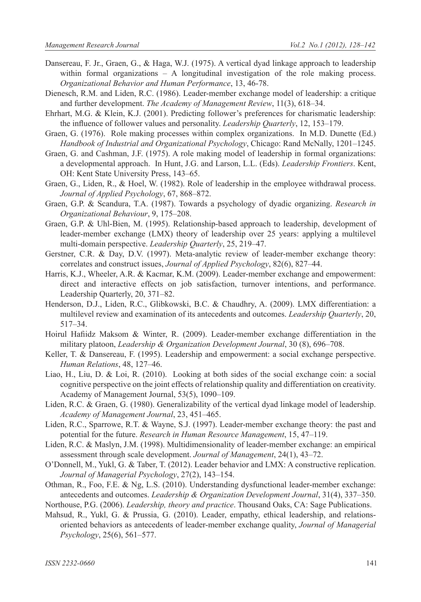- Dansereau, F. Jr., Graen, G., & Haga, W.J. (1975). A vertical dyad linkage approach to leadership within formal organizations – A longitudinal investigation of the role making process. *Organizational Behavior and Human Performance*, 13, 46-78.
- Dienesch, R.M. and Liden, R.C. (1986). Leader-member exchange model of leadership: a critique and further development. *The Academy of Management Review*, 11(3), 618–34.
- Ehrhart, M.G. & Klein, K.J. (2001). Predicting follower's preferences for charismatic leadership: the influence of follower values and personality. *Leadership Quarterly*, 12, 153–179.
- Graen, G. (1976). Role making processes within complex organizations. In M.D. Dunette (Ed.) *Handbook of Industrial and Organizational Psychology*, Chicago: Rand McNally, 1201–1245.
- Graen, G. and Cashman, J.F. (1975). A role making model of leadership in formal organizations: a developmental approach. In Hunt, J.G. and Larson, L.L. (Eds). *Leadership Frontiers*. Kent, OH: Kent State University Press, 143–65.
- Graen, G., Liden, R., & Hoel, W. (1982). Role of leadership in the employee withdrawal process. *Journal of Applied Psychology*, 67, 868‒872.
- Graen, G.P. & Scandura, T.A. (1987). Towards a psychology of dyadic organizing. *Research in Organizational Behaviour*, 9, 175‒208.
- Graen, G.P. & Uhl-Bien, M. (1995). Relationship-based approach to leadership, development of leader-member exchange (LMX) theory of leadership over 25 years: applying a multilevel multi-domain perspective. *Leadership Quarterly*, 25, 219-47.
- Gerstner, C.R. & Day, D.V. (1997). Meta-analytic review of leader-member exchange theory: correlates and construct issues, *Journal of Applied Psychology*, 82(6), 827–44.
- Harris, K.J., Wheeler, A.R. & Kacmar, K.M. (2009). Leader-member exchange and empowerment: direct and interactive effects on job satisfaction, turnover intentions, and performance. Leadership Quarterly, 20, 371–82.
- Henderson, D.J., Liden, R.C., Glibkowski, B.C. & Chaudhry, A. (2009). LMX differentiation: a multilevel review and examination of its antecedents and outcomes. *Leadership Quarterly*, 20, 517‒34.
- Hoirul Hafiidz Maksom & Winter, R. (2009). Leader-member exchange differentiation in the military platoon, *Leadership & Organization Development Journal*, 30 (8), 696–708.
- Keller, T. & Dansereau, F. (1995). Leadership and empowerment: a social exchange perspective. *Human Relations*, 48, 127‒46.
- Liao, H., Liu, D. & Loi, R. (2010). Looking at both sides of the social exchange coin: a social cognitive perspective on the joint effects of relationship quality and differentiation on creativity. Academy of Management Journal, 53(5), 1090-109.
- Liden, R.C. & Graen, G. (1980). Generalizability of the vertical dyad linkage model of leadership. *Academy of Management Journal*, 23, 451‒465.
- Liden, R.C., Sparrowe, R.T. & Wayne, S.J. (1997). Leader-member exchange theory: the past and potential for the future. *Research in Human Resource Management*, 15, 47–119.
- Liden, R.C. & Maslyn, J.M. (1998). Multidimensionality of leader-member exchange: an empirical assessment through scale development. *Journal of Management*, 24(1), 43‒72.
- O'Donnell, M., Yukl, G. & Taber, T. (2012). Leader behavior and LMX: A constructive replication. *Journal of Managerial Psychology*, 27(2), 143‒154.
- Othman, R., Foo, F.E. & Ng, L.S. (2010). Understanding dysfunctional leader-member exchange: antecedents and outcomes. *Leadership & Organization Development Journal*, 31(4), 337‒350.

Northouse, P.G. (2006). *Leadership, theory and practice*. Thousand Oaks, CA: Sage Publications.

Mahsud, R., Yukl, G. & Prussia, G. (2010). Leader, empathy, ethical leadership, and relationsoriented behaviors as antecedents of leader-member exchange quality, *Journal of Managerial Psychology*, 25(6), 561‒577.